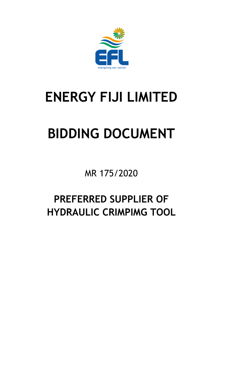

# **ENERGY FIJI LIMITED**

# **BIDDING DOCUMENT**

MR 175/2020

# **PREFERRED SUPPLIER OF HYDRAULIC CRIMPIMG TOOL**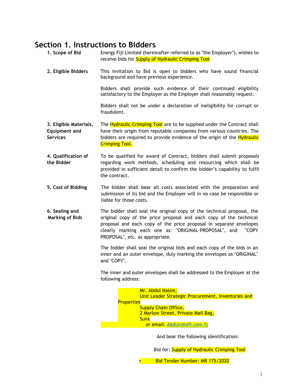### <span id="page-1-0"></span>**Section 1. Instructions to Bidders**

| 1. Scope of Bid                                                   | Energy Fiji Limited (hereinafter referred to as "the Employer"), wishes to<br>receive bids for Supply of Hydraulic Crimping Tool                                                                                                                                                                                        |
|-------------------------------------------------------------------|-------------------------------------------------------------------------------------------------------------------------------------------------------------------------------------------------------------------------------------------------------------------------------------------------------------------------|
| 2. Eligible Bidders                                               | This Invitation to Bid is open to bidders who have sound financial<br>background and have previous experience.                                                                                                                                                                                                          |
|                                                                   | Bidders shall provide such evidence of their continued eligibility<br>satisfactory to the Employer as the Employer shall reasonably request.                                                                                                                                                                            |
|                                                                   | Bidders shall not be under a declaration of ineligibility for corrupt or<br>fraudulent.                                                                                                                                                                                                                                 |
| 3. Eligible Materials,<br><b>Equipment and</b><br><b>Services</b> | The Hydraulic Crimping Tool are to be supplied under the Contract shall<br>have their origin from reputable companies from various countries. The<br>bidders are required to provide evidence of the origin of the <b>Hydraulic</b><br><b>Crimping Tool.</b>                                                            |
| 4. Qualification of<br>the Bidder                                 | To be qualified for award of Contract, bidders shall submit proposals<br>regarding work methods, scheduling and resourcing which shall be<br>provided in sufficient detail to confirm the bidder's capability to fulfil<br>the contract.                                                                                |
| 5. Cost of Bidding                                                | The bidder shall bear all costs associated with the preparation and<br>submission of its bid and the Employer will in no case be responsible or<br>liable for those costs.                                                                                                                                              |
| 6. Sealing and<br><b>Marking of Bids</b>                          | The bidder shall seal the original copy of the technical proposal, the<br>original copy of the price proposal and each copy of the technical<br>proposal and each copy of the price proposal in separate envelopes<br>clearly marking each one as: "ORIGINAL-PROPOSAL", and<br>"COPY<br>PROPOSAL", etc. as appropriate. |
|                                                                   | The bidder shall seal the original bids and each copy of the bids in an<br>inner and an outer envelope, duly marking the envelopes as "ORIGINAL"<br>and "COPY".                                                                                                                                                         |
|                                                                   | The inner and outer envelopes shall be addressed to the Employer at the<br>following address:                                                                                                                                                                                                                           |
|                                                                   | Mr. Abdul Nasim,<br>Unit Leader Strategic Procurement, Inventories and<br><b>Properties</b><br><b>Supply Chain Office,</b><br>2 Marlow Street, Private Mail Bag,<br>Suva<br>or email: Abduln@efl.com.fj                                                                                                                 |
|                                                                   |                                                                                                                                                                                                                                                                                                                         |
|                                                                   | And bear the following identification:                                                                                                                                                                                                                                                                                  |
|                                                                   | Bid for: Supply of Hydraulic Crimping Tool                                                                                                                                                                                                                                                                              |
|                                                                   | Bid Tender Number: MR 175/2020                                                                                                                                                                                                                                                                                          |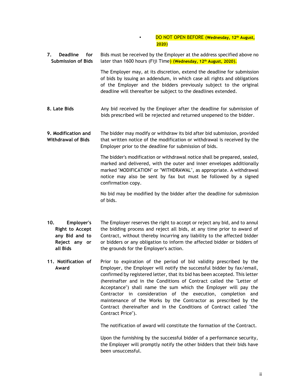#### • DO NOT OPEN BEFORE (**Wednesday, 12th August, 2020**)

**7. Deadline for Submission of Bids** Bids must be received by the Employer at the address specified above no later than 1600 hours (Fiji Time) (**Wednesday, 12th August, 2020**).

> The Employer may, at its discretion, extend the deadline for submission of bids by issuing an addendum, in which case all rights and obligations of the Employer and the bidders previously subject to the original deadline will thereafter be subject to the deadlines extended.

- **8. Late Bids** Any bid received by the Employer after the deadline for submission of bids prescribed will be rejected and returned unopened to the bidder.
- **9. Modification and Withdrawal of Bids** The bidder may modify or withdraw its bid after bid submission, provided that written notice of the modification or withdrawal is received by the Employer prior to the deadline for submission of bids.

The bidder's modification or withdrawal notice shall be prepared, sealed, marked and delivered, with the outer and inner envelopes additionally marked "MODIFICATION" or "WITHDRAWAL", as appropriate. A withdrawal notice may also be sent by fax but must be followed by a signed confirmation copy.

No bid may be modified by the bidder after the deadline for submission of bids.

- **10. Employer's Right to Accept any Bid and to Reject any or all Bids** The Employer reserves the right to accept or reject any bid, and to annul the bidding process and reject all bids, at any time prior to award of Contract, without thereby incurring any liability to the affected bidder or bidders or any obligation to inform the affected bidder or bidders of the grounds for the Employer's action.
- **11. Notification of Award** Prior to expiration of the period of bid validity prescribed by the Employer, the Employer will notify the successful bidder by fax/email, confirmed by registered letter, that its bid has been accepted. This letter (hereinafter and in the Conditions of Contract called the "Letter of Acceptance") shall name the sum which the Employer will pay the Contractor in consideration of the execution, completion and maintenance of the Works by the Contractor as prescribed by the Contract (hereinafter and in the Conditions of Contract called "the Contract Price").

The notification of award will constitute the formation of the Contract.

Upon the furnishing by the successful bidder of a performance security, the Employer will promptly notify the other bidders that their bids have been unsuccessful.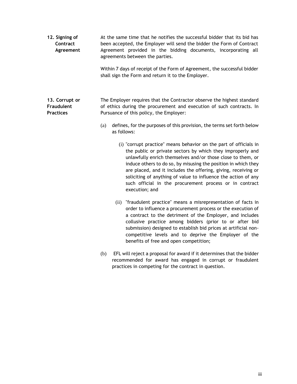**12. Signing of Contract Agreement** At the same time that he notifies the successful bidder that its bid has been accepted, the Employer will send the bidder the Form of Contract Agreement provided in the bidding documents, incorporating all agreements between the parties. Within 7 days of receipt of the Form of Agreement, the successful bidder shall sign the Form and return it to the Employer.

#### **13. Corrupt or Fraudulent Practices** The Employer requires that the Contractor observe the highest standard of ethics during the procurement and execution of such contracts. In Pursuance of this policy, the Employer:

- (a) defines, for the purposes of this provision, the terms set forth below as follows:
	- (i) "corrupt practice" means behavior on the part of officials in the public or private sectors by which they improperly and unlawfully enrich themselves and/or those close to them, or induce others to do so, by misusing the position in which they are placed, and it includes the offering, giving, receiving or soliciting of anything of value to influence the action of any such official in the procurement process or in contract execution; and
	- (ii) "fraudulent practice" means a misrepresentation of facts in order to influence a procurement process or the execution of a contract to the detriment of the Employer, and includes collusive practice among bidders (prior to or after bid submission) designed to establish bid prices at artificial noncompetitive levels and to deprive the Employer of the benefits of free and open competition;
- (b) EFL will reject a proposal for award if it determines that the bidder recommended for award has engaged in corrupt or fraudulent practices in competing for the contract in question.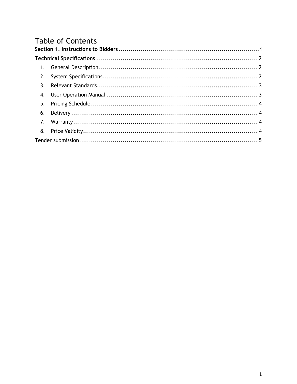# **Table of Contents**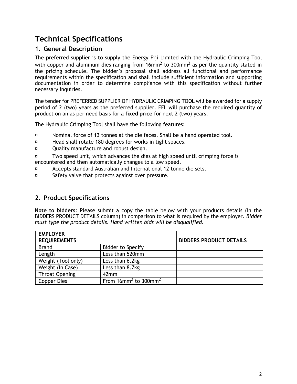# <span id="page-5-0"></span>**Technical Specifications**

#### <span id="page-5-1"></span>**1. General Description**

The preferred supplier is to supply the Energy Fiji Limited with the Hydraulic Crimping Tool with copper and aluminum dies ranging from 16mm<sup>2</sup> to 300mm<sup>2</sup> as per the quantity stated in the pricing schedule. The bidder's proposal shall address all functional and performance requirements within the specification and shall include sufficient information and supporting documentation in order to determine compliance with this specification without further necessary inquiries.

The tender for PREFERRED SUPPLIER OF HYDRAULIC CRIMPING TOOL will be awarded for a supply period of 2 (two) years as the preferred supplier. EFL will purchase the required quantity of product on an as per need basis for a **fixed price** for next 2 (two) years.

The Hydraulic Crimping Tool shall have the following features:

- $\Box$ Nominal force of 13 tonnes at the die faces. Shall be a hand operated tool.
- Head shall rotate 180 degrees for works in tight spaces.  $\Box$
- $\Box$ Quality manufacture and robust design.

Two speed unit, which advances the dies at high speed until crimping force is  $\Box$ encountered and then automatically changes to a low speed.

- $\Box$ Accepts standard Australian and International 12 tonne die sets.
- $\Box$ Safety valve that protects against over pressure.

#### <span id="page-5-2"></span>**2. Product Specifications**

**Note to bidders**: Please submit a copy the table below with your products details (in the BIDDERS PRODUCT DETAILS column) in comparison to what is required by the employer. *Bidder must type the product details. Hand written bids will be disqualified.* 

| <b>EMPLOYER</b>       |                                                    |                                |
|-----------------------|----------------------------------------------------|--------------------------------|
| <b>REQUIREMENTS</b>   |                                                    | <b>BIDDERS PRODUCT DETAILS</b> |
| <b>Brand</b>          | <b>Bidder to Specify</b>                           |                                |
| Length                | Less than 520mm                                    |                                |
| Weight (Tool only)    | Less than 6.2kg                                    |                                |
| Weight (In Case)      | Less than 8.7kg                                    |                                |
| <b>Throat Opening</b> | 42mm                                               |                                |
| Copper Dies           | From $16$ mm <sup>2</sup> to $300$ mm <sup>2</sup> |                                |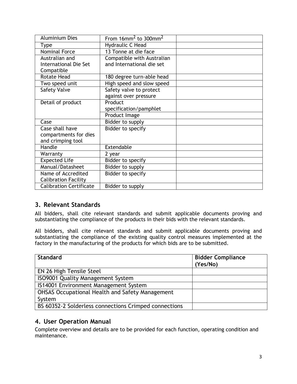| <b>Aluminium Dies</b>          | From $16$ mm <sup>2</sup> to $300$ mm <sup>2</sup> |  |
|--------------------------------|----------------------------------------------------|--|
| <b>Type</b>                    | Hydraulic C Head                                   |  |
| <b>Nominal Force</b>           | 13 Tonne at die face                               |  |
| Australian and                 | Compatible with Australian                         |  |
| <b>International Die Set</b>   | and International die set                          |  |
| Compatible                     |                                                    |  |
| <b>Rotate Head</b>             | 180 degree turn-able head                          |  |
| Two speed unit                 | High speed and slow speed                          |  |
| <b>Safety Valve</b>            | Safety valve to protect                            |  |
|                                | against over pressure                              |  |
| Detail of product              | Product                                            |  |
|                                | specification/pamphlet                             |  |
|                                | Product Image                                      |  |
| Case                           | Bidder to supply                                   |  |
| Case shall have                | Bidder to specify                                  |  |
| compartments for dies          |                                                    |  |
| and crimping tool              |                                                    |  |
| Handle                         | Extendable                                         |  |
| Warranty                       | 2 year                                             |  |
| <b>Expected Life</b>           | Bidder to specify                                  |  |
| Manual/Datasheet               | Bidder to supply                                   |  |
| Name of Accredited             | Bidder to specify                                  |  |
| <b>Calibration Facility</b>    |                                                    |  |
| <b>Calibration Certificate</b> | Bidder to supply                                   |  |

#### <span id="page-6-0"></span>**3. Relevant Standards**

All bidders, shall cite relevant standards and submit applicable documents proving and substantiating the compliance of the products in their bids with the relevant standards.

All bidders, shall cite relevant standards and submit applicable documents proving and substantiating the compliance of the existing quality control measures implemented at the factory in the manufacturing of the products for which bids are to be submitted.

| <b>Standard</b>                                        | <b>Bidder Compliance</b><br>(Yes/No) |
|--------------------------------------------------------|--------------------------------------|
| EN 26 High Tensile Steel                               |                                      |
| ISO9001 Quality Management System                      |                                      |
| IS14001 Environment Management System                  |                                      |
| <b>OHSAS Occupational Health and Safety Management</b> |                                      |
| System                                                 |                                      |
| BS 60352-2 Solderless connections Crimped connections  |                                      |

#### <span id="page-6-1"></span>**4. User Operation Manual**

Complete overview and details are to be provided for each function, operating condition and maintenance.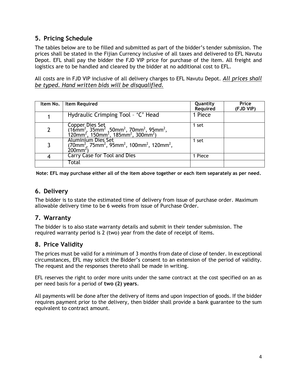#### <span id="page-7-0"></span>**5. Pricing Schedule**

The tables below are to be filled and submitted as part of the bidder's tender submission. The prices shall be stated in the Fijian Currency inclusive of all taxes and delivered to EFL Navutu Depot. EFL shall pay the bidder the FJD VIP price for purchase of the item. All freight and logistics are to be handled and cleared by the bidder at no additional cost to EFL.

All costs are in FJD VIP inclusive of all delivery charges to EFL Navutu Depot. *All prices shall be typed. Hand written bids will be disqualified.*

|                | Item No.   Item Required                                                                                                                                                                                    | Quantity<br>Required | Price<br>(FJD VIP) |
|----------------|-------------------------------------------------------------------------------------------------------------------------------------------------------------------------------------------------------------|----------------------|--------------------|
|                | Hydraulic Crimping Tool - 'C' Head                                                                                                                                                                          | 1 Piece              |                    |
| $\overline{2}$ | Copper Dies Set<br>(16mm <sup>2</sup> , 35mm <sup>2</sup> , 50mm <sup>2</sup> , 70mm <sup>2</sup> , 95mm <sup>2</sup> , 120mm <sup>2</sup> , 150mm <sup>2</sup> , 185mm <sup>2</sup> , 300mm <sup>2</sup> ) | 1 set                |                    |
| 3              | Aluminium Dies Set<br>(70mm <sup>2</sup> , 75mm <sup>2</sup> , 95mm <sup>2</sup> , 100mm <sup>2</sup> , 120mm <sup>2</sup> ,<br>$200$ mm <sup><math>2</math></sup>                                          | 1 set                |                    |
| 4              | Carry Case for Tool and Dies                                                                                                                                                                                | 1 Piece              |                    |
|                | Total                                                                                                                                                                                                       |                      |                    |

**Note: EFL may purchase either all of the item above together or each item separately as per need.**

#### <span id="page-7-1"></span>**6. Delivery**

The bidder is to state the estimated time of delivery from issue of purchase order. Maximum allowable delivery time to be 6 weeks from issue of Purchase Order.

#### <span id="page-7-2"></span>**7. Warranty**

The bidder is to also state warranty details and submit in their tender submission. The required warranty period is 2 (two) year from the date of receipt of items.

#### <span id="page-7-3"></span>**8. Price Validity**

The prices must be valid for a minimum of 3 months from date of close of tender. In exceptional circumstances, EFL may solicit the Bidder's consent to an extension of the period of validity. The request and the responses thereto shall be made in writing.

EFL reserves the right to order more units under the same contract at the cost specified on an as per need basis for a period of **two (2) years**.

All payments will be done after the delivery of items and upon inspection of goods. If the bidder requires payment prior to the delivery, then bidder shall provide a bank guarantee to the sum equivalent to contract amount.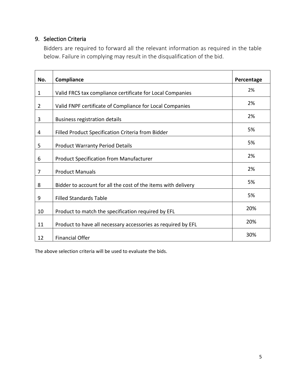#### <span id="page-8-0"></span>9. Selection Criteria

Bidders are required to forward all the relevant information as required in the table below. Failure in complying may result in the disqualification of the bid.

| No.         | Compliance                                                    | Percentage |
|-------------|---------------------------------------------------------------|------------|
| $\mathbf 1$ | Valid FRCS tax compliance certificate for Local Companies     | 2%         |
| 2           | Valid FNPF certificate of Compliance for Local Companies      | 2%         |
| 3           | <b>Business registration details</b>                          | 2%         |
| 4           | Filled Product Specification Criteria from Bidder             | 5%         |
| 5           | <b>Product Warranty Period Details</b>                        | 5%         |
| 6           | <b>Product Specification from Manufacturer</b>                | 2%         |
| 7           | <b>Product Manuals</b>                                        | 2%         |
| 8           | Bidder to account for all the cost of the items with delivery | 5%         |
| 9           | <b>Filled Standards Table</b>                                 | 5%         |
| 10          | Product to match the specification required by EFL            | 20%        |
| 11          | Product to have all necessary accessories as required by EFL  | 20%        |
| 12          | <b>Financial Offer</b>                                        | 30%        |

The above selection criteria will be used to evaluate the bids.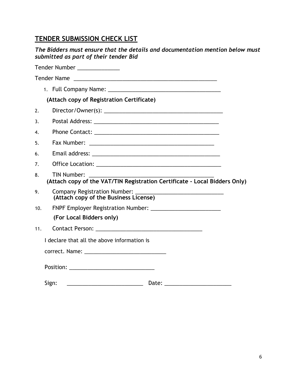## **TENDER SUBMISSION CHECK LIST**

|     | The Bidders must ensure that the details and documentation mention below must<br>submitted as part of their tender Bid                                                                                                        |
|-----|-------------------------------------------------------------------------------------------------------------------------------------------------------------------------------------------------------------------------------|
|     | Tender Number ______________                                                                                                                                                                                                  |
|     |                                                                                                                                                                                                                               |
|     | 1. Full Company Name: 1. 1996. 1997. 1998. 1999. 1999. 1999. 1999. 1999. 1999. 1999. 1999. 1999. 1999. 1999. 1                                                                                                                |
|     | (Attach copy of Registration Certificate)                                                                                                                                                                                     |
| 2.  |                                                                                                                                                                                                                               |
| 3.  |                                                                                                                                                                                                                               |
| 4.  |                                                                                                                                                                                                                               |
| 5.  |                                                                                                                                                                                                                               |
| 6.  |                                                                                                                                                                                                                               |
| 7.  |                                                                                                                                                                                                                               |
| 8.  | <b>TIN Number:</b><br>(Attach copy of the VAT/TIN Registration Certificate - Local Bidders Only)                                                                                                                              |
| 9.  | (Attach copy of the Business License)                                                                                                                                                                                         |
| 10. |                                                                                                                                                                                                                               |
|     | (For Local Bidders only)                                                                                                                                                                                                      |
| 11. |                                                                                                                                                                                                                               |
|     | I declare that all the above information is                                                                                                                                                                                   |
|     | correct. Name: The correct of the correct of the correct of the correct of the correct of the correct of the correct of the correct of the correct of the correct of the correct of the correct of the correct of the correct |
|     | Position: _________________________________                                                                                                                                                                                   |
|     | Sign:<br>Date:                                                                                                                                                                                                                |